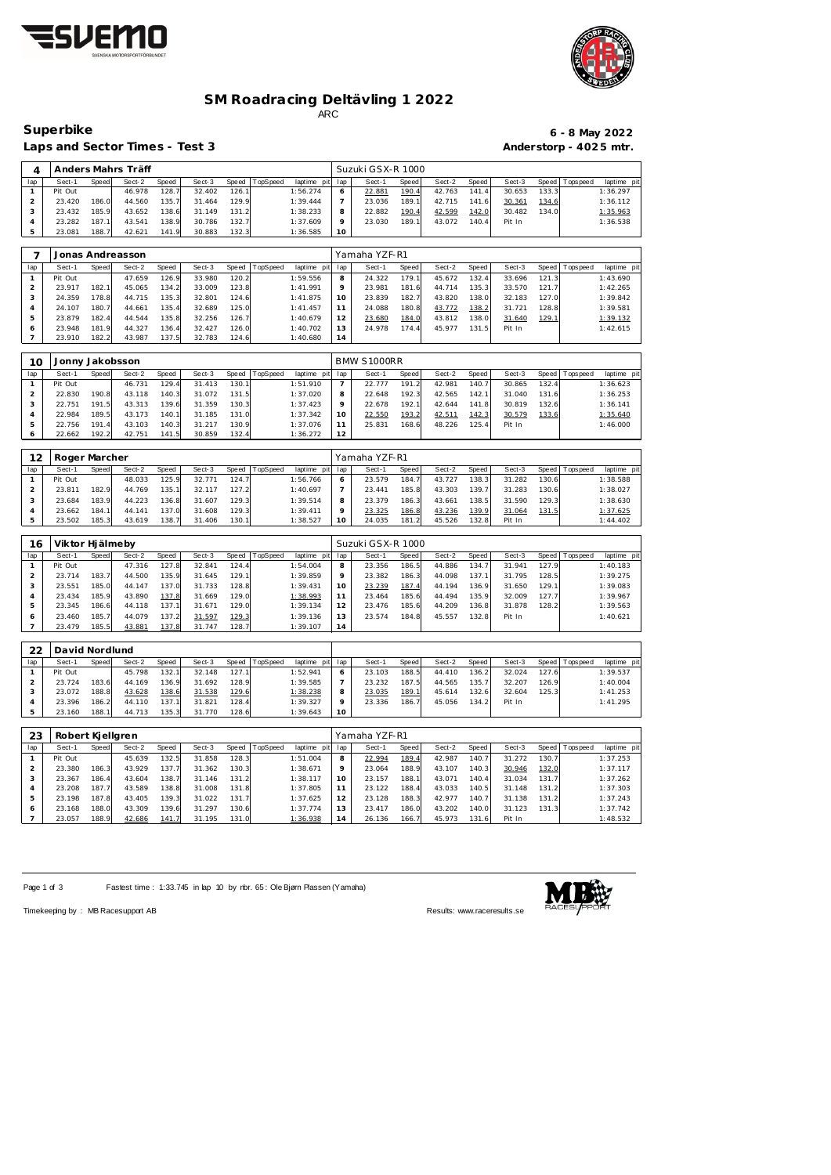



### **SM Roadracing Deltävling 1 2022** ARC

Laps and Sector Times - Test 3 **Anderstorp - 4025 mtr.** 

# **Superbike 6 - 8 May 2022**

|     |         |       | Anders Mahrs Träff |       |        |       |          |             |     | Suzuki GSX-R 1000 |       |        |                    |        |         |          |             |
|-----|---------|-------|--------------------|-------|--------|-------|----------|-------------|-----|-------------------|-------|--------|--------------------|--------|---------|----------|-------------|
| lap | Sect-1  | Speed | Sect-2             | Speed | Sect-3 | Speed | TopSpeed | laptime pit | lap | Sect-1            | Speed | Sect-2 | Speed              | Sect-3 | Speed I | Topspeed | laptime pit |
|     | Pit Out |       | 46.978             | 128.7 | 32.402 | 126.1 |          | 1:56.274    |     | 22.881            | 190.4 | 42.763 | 141.4              | 30.653 | 133.3   |          | 1:36.297    |
|     | 23.420  | 186.0 | 44.560             | 135.7 | 31.464 | 129.9 |          | 1:39.444    |     | 23.036            | 189.1 | 42.715 | 141.6              | 30.361 | 134.6   |          | 1:36.112    |
|     | 23.432  | 185.9 | 43.652             | 38.6  | 31.149 | 131.2 |          | 1:38.233    |     | 22.882            | 190.4 | 42.599 | 142.0              | 30.482 | 134.0   |          | 1:35.963    |
|     | 23.282  | 187.1 | 43.541             | 138.9 | 30.786 | 132.7 |          | 1:37.609    |     | 23.030            | 189.1 | 43.072 | 140.4 <sub>1</sub> | Pit In |         |          | 1:36.538    |
|     | 23.081  | 188.7 | 42.621             | 141.9 | 30.883 | 132.3 |          | 1:36.585    | 10  |                   |       |        |                    |        |         |          |             |

|     |         |       | Jonas Andreasson |       |        |       |          |             |         | Yamaha YZF-R1 |       |        |       |        |       |                 |             |
|-----|---------|-------|------------------|-------|--------|-------|----------|-------------|---------|---------------|-------|--------|-------|--------|-------|-----------------|-------------|
| lap | Sect-1  | Speed | Sect-2           | Speed | Sect-3 | Speed | TopSpeed | laptime pit | lap     | Sect-1        | Speed | Sect-2 | Speed | Sect-3 |       | Speed Tops peed | laptime pit |
|     | Pit Out |       | 47.659           | 126.9 | 33.980 | 120.2 |          | 1:59.556    | 8       | 24.322        | 179.1 | 45.672 | 132.4 | 33.696 | 121.3 |                 | 1:43.690    |
|     | 23.917  | 182.1 | 45.065           | 134.2 | 33.009 | 123.8 |          | 1:41.991    | $\circ$ | 23.981        | 181.6 | 44.714 | 135.3 | 33.570 | 121.7 |                 | 1:42.265    |
|     | 24.359  | 178.8 | 44.715           | 135.3 | 32.801 | 124.6 |          | 1:41.875    | 10      | 23.839        | 182.7 | 43.820 | 138.0 | 32.183 | 127.0 |                 | 1:39.842    |
| 4   | 24.107  | 180.7 | 44.661           | 135.4 | 32.689 | 125.0 |          | 1: 41.457   |         | 24.088        | 180.8 | 43.772 | 138.2 | 31.721 | 128.8 |                 | 1:39.581    |
| .5  | 23.879  | 182.4 | 44.544           | 135.8 | 32.256 | 126.7 |          | 1:40.679    | 12      | 23.680        | 184.0 | 43.812 | 138.0 | 31.640 | 129.1 |                 | 1:39.132    |
| 6   | 23.948  | 181.9 | 44.327           | 136.4 | 32.427 | 126.0 |          | 1:40.702    | 13      | 24.978        | 174.4 | 45.977 | 131.5 | Pit In |       |                 | 1:42.615    |
|     | 23.910  | 182.2 | 43.987           | 137.5 | 32.783 | 124.6 |          | 1:40.680    | 14      |               |       |        |       |        |       |                 |             |

| 10  | Jonny Jakobsson |                       |        |       |        |       |          |             |     | BMW S1000RR |       |        |       |        |       |                 |             |
|-----|-----------------|-----------------------|--------|-------|--------|-------|----------|-------------|-----|-------------|-------|--------|-------|--------|-------|-----------------|-------------|
| lap | Sect-1          | Speed                 | Sect-2 | Speed | Sect-3 | Speed | TopSpeed | laptime pit | lap | Sect-1      | Speed | Sect-2 | Speed | Sect-3 |       | Speed Tops peed | laptime pit |
|     | Pit Out         |                       | 46.731 | 129.4 | 31.413 | 130.1 |          | 1:51.910    |     | 22.777      | 191.2 | 42.981 | 140.7 | 30.865 | 132.4 |                 | 1:36.623    |
|     | 22.830          | 190.8                 | 43.118 | 140.3 | 31.072 | 131.5 |          | 1:37.020    | 8   | 22.648      | 192.3 | 42.565 | 142.1 | 31.040 | 131.6 |                 | 1:36.253    |
|     | 22.751          | 191.5                 | 43.313 | 139.6 | 31.359 | 130.3 |          | 1:37.423    | 9   | 22.678      | 192.1 | 42.644 | 141.8 | 30.819 | 132.6 |                 | 1:36.141    |
|     | 22.984          | 189.5                 | 43.173 | 140.1 | 31.185 | 131.0 |          | 1:37.342    | 10  | 22.550      | 193.2 | 42.511 | 142.3 | 30.579 | 133.6 |                 | 1:35.640    |
|     | 22.756          | 191<br>$\overline{4}$ | 43.103 | 140.3 | 31.217 | 130.9 |          | 1:37.076    | 11  | 25.831      | 168.6 | 48.226 | 125.4 | Pit In |       |                 | 1:46.000    |
|     | 22.662          | 192.2                 | 42.751 | 141.5 | 30.859 | 132.4 |          | 1:36.272    | 12  |             |       |        |       |        |       |                 |             |

| 12  | Roger Marcher |       |        |       |        |       |                |                 |    | Yamaha YZF-R1 |       |        |        |        |       |                   |             |
|-----|---------------|-------|--------|-------|--------|-------|----------------|-----------------|----|---------------|-------|--------|--------|--------|-------|-------------------|-------------|
| lap | Sect-1        | Speed | Sect-2 | Speed | Sect-3 |       | Speed TopSpeed | laptime pit lap |    | Sect-1        | Speed | Sect-2 | Speed  | Sect-3 |       | Speed   Tops peed | laptime pit |
|     | Pit Out       |       | 48.033 | 125.9 | 32.771 | 124.7 |                | 1:56.766        |    | 23.579        | 184.7 | 43.727 | 138.3  | 31.282 | 130.6 |                   | 1:38.588    |
|     | 23.811        | 182.9 | 44.769 | 135.1 | 32.117 | 127.2 |                | 1:40.697        |    | 23.441        | 185.8 | 43.303 | 139.71 | 31.283 | 130.6 |                   | 1:38.027    |
|     | 23.684        | 183.9 | 44.223 | 136.8 | 31.607 | 129.3 |                | 1:39.514        | 8  | 23.379        | 186.3 | 43.661 | 138.5  | 31.590 | 129.3 |                   | 1:38.630    |
| 4   | 23.662        | 184.1 | 44.141 | 137.0 | 31.608 | 129.3 |                | 1:39.411        |    | 23.325        | 186.8 | 43.236 | 139.9  | 31.064 | 131.5 |                   | 1:37.625    |
|     | 23.502        | 185.3 | 43.619 | 138.7 | 31.406 | 130.1 |                | 1:38.527        | 10 | 24.035        | 181.2 | 45.526 | 132.8  | Pit In |       |                   | 1:44.402    |

| 16  | Viktor Hi älmeby |       |        |       |        |       |          |                 |         | Suzuki GSX-R 1000 |       |        |       |        |       |                 |             |
|-----|------------------|-------|--------|-------|--------|-------|----------|-----------------|---------|-------------------|-------|--------|-------|--------|-------|-----------------|-------------|
| lap | Sect-1           | Speed | Sect-2 | Speed | Sect-3 | Speed | TopSpeed | laptime pit lap |         | Sect-1            | Speed | Sect-2 | Speed | Sect-3 |       | Speed Tops peed | laptime pit |
|     | Pit Out          |       | 47.316 | 127.8 | 32.841 | 124.4 |          | 1:54.004        | 8       | 23.356            | 186.5 | 44.886 | 134.7 | 31.941 | 127.9 |                 | 1:40.183    |
|     | 23.714           | 183.7 | 44.500 | 135.9 | 31.645 | 129.1 |          | 1:39.859        | $\circ$ | 23.382            | 186.3 | 44.098 | 137.1 | 31.795 | 128.5 |                 | 1:39.275    |
| 3   | 23.551           | 185.0 | 44.147 | 137.0 | 31.733 | 128.8 |          | 1:39.431        | 10      | 23.239            | 187.4 | 44.194 | 136.9 | 31.650 | 129.1 |                 | 1:39.083    |
| 4   | 23.434           | 185.9 | 43.890 | 137.8 | 31.669 | 129.0 |          | 1:38.993        | 11      | 23.464            | 185.6 | 44.494 | 135.9 | 32.009 | 127.7 |                 | 1:39.967    |
| 5   | 23.345           | 186.6 | 44.118 | 137.1 | 31.671 | 129.0 |          | 1:39.134        | 12      | 23.476            | 185.6 | 44.209 | 136.8 | 31.878 | 128.2 |                 | 1:39.563    |
| 6   | 23.460           | 185.7 | 44.079 | 137.2 | 31.597 | 129.3 |          | 1:39.136        | 13      | 23.574            | 184.8 | 45.557 | 132.8 | Pit In |       |                 | 1:40.621    |
|     | 23.479           | 185.5 | 43.881 | 137.8 | 31.747 | 128.7 |          | 1:39.107        | 14      |                   |       |        |       |        |       |                 |             |

| 22  | David Nordlund |       |        |       |        |       |                 |                 |    |        |       |        |        |        |       |                 |             |
|-----|----------------|-------|--------|-------|--------|-------|-----------------|-----------------|----|--------|-------|--------|--------|--------|-------|-----------------|-------------|
| lap | Sect-1         | Speed | Sect-2 | Speed | Sect-3 | Speed | <b>TopSpeed</b> | laptime pit lap |    | Sect-1 | Speed | Sect-2 | Speed  | Sect-3 |       | Speed Tops peed | laptime pit |
|     | Pit Out        |       | 45.798 | 132.1 | 32.148 | 127.1 |                 | 1:52.941        |    | 23.103 | 188.5 | 44.410 | 136.2  | 32.024 | 127.6 |                 | 1:39.537    |
|     | 23.724         | 183.6 | 44.169 | 136.9 | 31.692 | 128.9 |                 | 1:39.585        |    | 23.232 | 187.5 | 44.565 | 135.7. | 32.207 | 126.9 |                 | 1:40.004    |
|     | 23.072         | 188.8 | 43.628 | 138.6 | 31.538 | 129.6 |                 | 1:38.238        | Õ  | 23.035 | 189.1 | 45.614 | 132.6  | 32.604 | 125.3 |                 | 1:41.253    |
|     | 23.396         | 186.2 | 44.110 | 137.1 | 31.821 | 128.4 |                 | 1:39.327        |    | 23.336 | 186.7 | 45.056 | 134.2  | Pit In |       |                 | 1:41.295    |
|     | 23.160         | 188.1 | 44.713 | 135.3 | 31.770 | 128.6 |                 | 1:39.643        | 10 |        |       |        |        |        |       |                 |             |

| 23  | Robert Kjellgren |       |        |       |        |       |                 |             |     | Yamaha YZF-R1 |       |        |       |        |                    |          |             |
|-----|------------------|-------|--------|-------|--------|-------|-----------------|-------------|-----|---------------|-------|--------|-------|--------|--------------------|----------|-------------|
| lap | Sect-1           | Speed | Sect-2 | Speed | Sect-3 | Speed | <b>TopSpeed</b> | laptime pit | lap | Sect-1        | Speed | Sect-2 | Speed | Sect-3 | Speed              | Topspeed | laptime pit |
|     | Pit Out          |       | 45.639 | 132.5 | 31.858 | 128.3 |                 | 1:51.004    | 8   | 22.994        | 189.4 | 42.987 | 140.7 | 31.272 | 130.7 <sub>1</sub> |          | 1:37.253    |
|     | 23.380           | 186.3 | 43.929 | 137.7 | 31.362 | 130.3 |                 | 1:38.671    | 9   | 23.064        | 188.9 | 43.107 | 140.3 | 30.946 | 132.0              |          | 1:37.117    |
| -3  | 23.367           | 186.4 | 43.604 | 138.7 | 31.146 | 131.2 |                 | 1:38.117    | 10  | 23.157        | 188.1 | 43.071 | 140.4 | 31.034 | 131.7              |          | 1:37.262    |
| 4   | 23.208           | 187.7 | 43.589 | 138.8 | 31.008 | 131.8 |                 | 1:37.805    |     | 23.122        | 188.4 | 43.033 | 140.5 | 31.148 | 131.2              |          | 1:37.303    |
|     | 23.198           | 187.8 | 43.405 | 139.3 | 31.022 | 131.7 |                 | 1:37.625    | 12  | 23.128        | 188.3 | 42.977 | 140.7 | 31.138 | 131.2              |          | 1:37.243    |
| Ô   | 23.168           | 188.0 | 43.309 | 139.6 | 31.297 | 130.6 |                 | 1:37.774    | 13  | 23.417        | 186.0 | 43.202 | 140.0 | 31.123 | 131.3              |          | 1:37.742    |
|     | 23.057           | 188.9 | 42.686 | 141.7 | 31.195 | 131.0 |                 | 1:36.938    | 14  | 26.136        | 166.7 | 45.973 | 131.6 | Pit In |                    |          | 1:48.532    |

Page 1 of 3 Fastest time : 1:33.745 in lap 10 by rbr. 65 : Ole Bjørn Plassen (Yamaha)

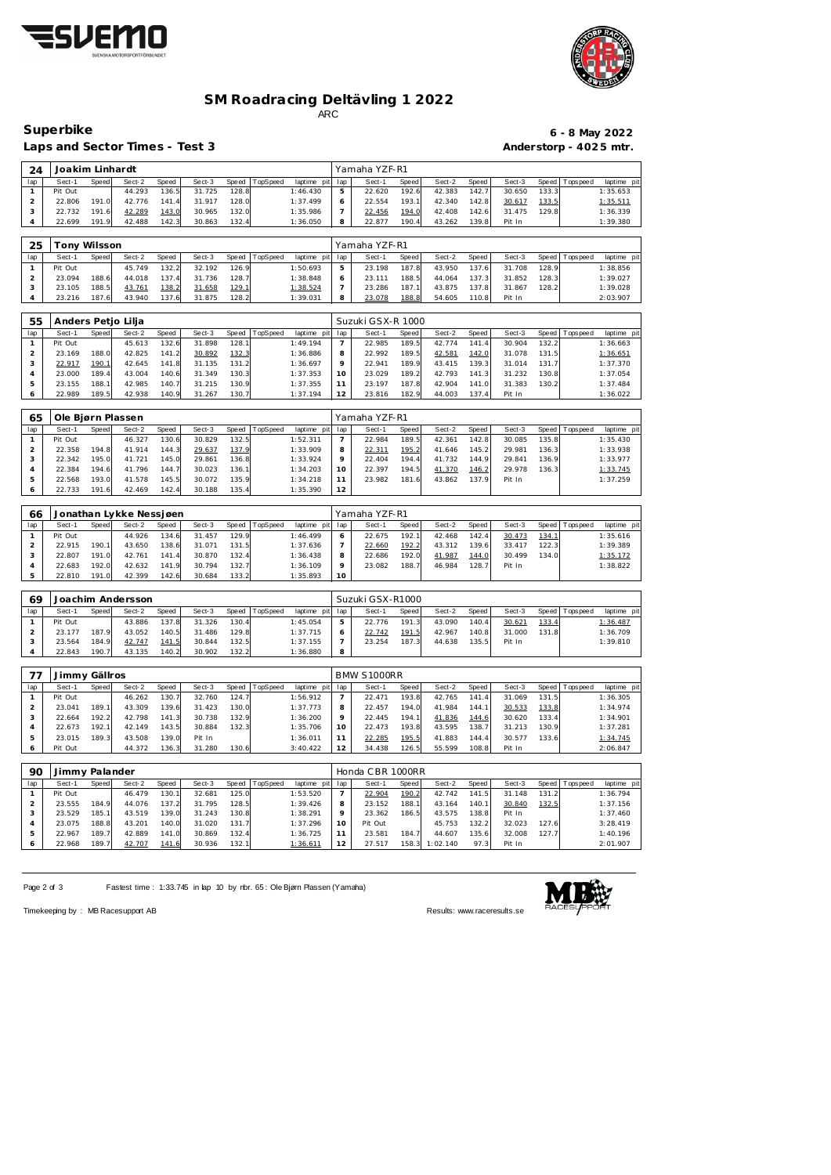



### **SM Roadracing Deltävling 1 2022** ARC

Laps and Sector Times - Test 3 **Anderstorp - 4025 mtr.** 

# **Superbike 6 - 8 May 2022**

| 24  | Joakim Linhardt |       |        |       |        |       |          |             |     | Yamaha YZF-R1 |       |        |       |        |       |                   |                 |
|-----|-----------------|-------|--------|-------|--------|-------|----------|-------------|-----|---------------|-------|--------|-------|--------|-------|-------------------|-----------------|
| lap | Sect-1          | Speed | Sect-2 | Speed | Sect-3 | Speed | TopSpeed | laptime pit | lap | Sect-1        | Speed | Sect-2 | Speed | Sect-3 |       | Speed   Tops peed | laptime pit     |
|     | Pit Out         |       | 44.293 | 136.5 | 31.725 | 128.8 |          | 1:46.430    |     | 22.620        | 192.6 | 42.383 | 142.7 | 30.650 | 133.3 |                   | 1:35.653        |
|     | 22.806          | 191.0 | 42.776 | 141.4 | 31.917 | 128.0 |          | 1:37.499    |     | 22.554        | 193.7 | 42.340 | 142.8 | 30.617 | 133.5 |                   | <u>1:35.511</u> |
|     | 22.732          | 191.6 | 42.289 | 143.0 | 30.965 | 132.0 |          | 1:35.986    |     | 22.456        | 194.0 | 42.408 | 142.6 | 31.475 | 129.8 |                   | 1:36.339        |
|     | 22.699          | 191.9 | 42.488 | 142.3 | 30.863 | 132.4 |          | 1:36.050    |     | 22.877        | 190.4 | 43.262 | 139.8 | Pit In |       |                   | 1:39.380        |

| 25  |         | Tonv Wilsson |        |       |        |       |          |                 |   | Yamaha YZF-R1 |              |        |       |        |       |                |             |
|-----|---------|--------------|--------|-------|--------|-------|----------|-----------------|---|---------------|--------------|--------|-------|--------|-------|----------------|-------------|
| lap | Sect-1  | Speed        | Sect-2 | Speed | Sect-3 | Speed | TopSpeed | laptime pit lap |   | Sect-1        | <b>Speed</b> | Sect-2 | Speed | Sect-3 |       | Speed Topspeed | laptime pit |
|     | Pit Out |              | 45.749 | 132.2 | 32.192 | 126.9 |          | 1:50.693        | 5 | 23.198        | 187.8        | 43.950 | 137.6 | 31.708 | 128.9 |                | 1:38.856    |
|     | 23.094  | 188.6        | 44.018 | 137.4 | 31.736 | 128.7 |          | 1:38.848        |   | 23.111        | 188.5        | 44.064 | 137.3 | 31.852 | 128.3 |                | 1:39.027    |
|     | 23.105  | 188.5        | 43.761 | 138.2 | 31.658 | 129.1 |          | 1:38.524        |   | 23.286        | 187.1        | 43.875 | 137.8 | 31.867 | 128.2 |                | 1:39.028    |
|     | 23.216  | 187.6        | 43.940 | 137.6 | 31.875 | 128.2 |          | 1:39.031        |   | 23.078        | 188.8        | 54.605 | 110.8 | Pit In |       |                | 2:03.907    |

| 55  |         |              | Anders Petjo Lilja |       |        |       |                |                 |         | Suzuki GSX-R 1000    |       |        |       |        |       |                 |             |
|-----|---------|--------------|--------------------|-------|--------|-------|----------------|-----------------|---------|----------------------|-------|--------|-------|--------|-------|-----------------|-------------|
| lap | Sect-1  | <b>Speed</b> | Sect-2             | Speed | Sect-3 |       | Speed TopSpeed | laptime<br>pitl | lap     | Sect-1               | Speed | Sect-2 | Speed | Sect-3 |       | Speed Tops peed | laptime pit |
|     | Pit Out |              | 45.613             | 132.6 | 31.898 | 128.1 |                | 1:49.194        |         | 22.985               | 189.5 | 42.774 | 141.4 | 30.904 | 132.2 |                 | 1:36.663    |
|     | 23.169  | 188.0        | 42.825             | 141.2 | 30.892 | 132.3 |                | 1:36.886        | 8       | 22.992               | 189.5 | 42.581 | 142.0 | 31.078 | 131.5 |                 | 1:36.651    |
|     | 22.917  | 190.1        | 42.645             | 141.8 | 31.135 | 131.2 |                | 1:36.697        | $\circ$ | $22.94$ <sup>-</sup> | 189.9 | 43.415 | 139.3 | 31.014 | 131.7 |                 | 1:37.370    |
|     | 23.000  | 189.4        | 43.004             | 140.6 | 31.349 | 130.3 |                | 1:37.353        | 10      | 23.029               | 189.2 | 42.793 | 141.3 | 31.232 | 130.8 |                 | 1:37.054    |
| 5   | 23.155  | 188.1        | 42.985             | 140.7 | 31.215 | 130.9 |                | 1:37.355        |         | 23.197               | 187.8 | 42.904 | 141.0 | 31.383 | 130.2 |                 | 1:37.484    |
|     | 22.989  | 189.5        | 42.938             | 140.9 | 31.267 | 130.7 |                | 1:37.194        | 12      | 23.816               | 182.9 | 44.003 | 137.4 | Pit In |       |                 | 1:36.022    |

| 65  |         |       | Ole Bjørn Plassen |       |        |       |          |                 |         | Yamaha YZF-R1 |       |        |       |        |       |                 |             |
|-----|---------|-------|-------------------|-------|--------|-------|----------|-----------------|---------|---------------|-------|--------|-------|--------|-------|-----------------|-------------|
| lap | Sect-1  | Speed | Sect-2            | Speed | Sect-3 | Speed | TopSpeed | laptime pit lap |         | Sect-1        | Speed | Sect-2 | Speed | Sect-3 |       | Speed Tops peed | laptime pit |
|     | Pit Out |       | 46.327            | 130.6 | 30.829 | 132.5 |          | 1:52.311        |         | 22.984        | 189.5 | 42.361 | 142.8 | 30.085 | 135.8 |                 | 1:35.430    |
|     | 22.358  | 194.8 | 41.914            | 144.3 | 29.637 | 137.9 |          | 1:33.909        | 8       | 22.31'        | 195.2 | 41.646 | 145.2 | 29.981 | 136.3 |                 | 1:33.938    |
|     | 22.342  | 195.0 | 41.721            | 145.0 | 29.861 | 136.8 |          | 1:33.924        | $\circ$ | 22.404        | 194.4 | 41.732 | 144.9 | 29.841 | 136.9 |                 | 1:33.977    |
|     | 22.384  | 194.6 | 41.796            | 144.7 | 30.023 | 136.1 |          | 1:34.203        | 10      | 22.397        | 194.5 | 41.370 | 146.2 | 29.978 | 136.3 |                 | 1:33.745    |
|     | 22.568  | 193.0 | 41.578            | 145.5 | 30.072 | 135.9 |          | 1:34.218        |         | 23.982        | 181.6 | 43.862 | 137.9 | Pit In |       |                 | 1:37.259    |
|     | 22.733  | 191.6 | 42.469            | 142.4 | 30.188 | 135.4 |          | 1:35.390        | 12      |               |       |        |       |        |       |                 |             |

| 66  |         |       | Jonathan Lykke Nessiøen |       |        |       |                |                 |    | Yamaha YZF-R1 |       |        |        |        |       |                |             |
|-----|---------|-------|-------------------------|-------|--------|-------|----------------|-----------------|----|---------------|-------|--------|--------|--------|-------|----------------|-------------|
| lap | Sect-1  | Speed | Sect-2                  | Speed | Sect-3 |       | Speed TopSpeed | laptime pit lap |    | Sect-1        | Speed | Sect-2 | Speed  | Sect-3 |       | Speed Topspeed | laptime pit |
|     | Pit Out |       | 44.926                  | 134.6 | 31.457 | 129.9 |                | 1:46.499        |    | 22.675        | 192.  | 42.468 | 142.4  | 30.473 | 134.1 |                | 1:35.616    |
|     | 22.915  | 190.1 | 43.650                  | 138.6 | 31.071 | 131.5 |                | 1:37.636        |    | 22.660        | 192.2 | 43.312 | 139.61 | 33.417 | 122.3 |                | 1:39.389    |
|     | 22.807  | 191.0 | 42.761                  | 141.4 | 30.870 | 132.4 |                | 1:36.438        | 8  | 22.686        | 192.C | 41.987 | 144.0  | 30.499 | 134.0 |                | 1:35.172    |
|     | 22.683  | 192.0 | 42.632                  | 141.9 | 30.794 | 132.7 |                | 1:36.109        |    | 23.082        | 188.  | 46.984 | 128.7. | Pit In |       |                | 1:38.822    |
|     | 22.810  | 191.0 | 42.399                  | 142.6 | 30.684 | 133.2 |                | 1:35.893        | 10 |               |       |        |        |        |       |                |             |

| 69  | Joachim Andersson |       |        |       |        |       |          |                 |   | Suzuki GSX-R1000 |       |        |       |        |       |                   |             |  |  |  |
|-----|-------------------|-------|--------|-------|--------|-------|----------|-----------------|---|------------------|-------|--------|-------|--------|-------|-------------------|-------------|--|--|--|
| lap | Sect-1            | Speed | Sect-2 | Speed | Sect-3 | Speed | TopSpeed | laptime pit lap |   | Sect-1           | Speed | Sect-2 | Speed | Sect-3 |       | Speed   Tops peed | laptime pit |  |  |  |
|     | Pit Out           |       | 43.886 | 137.8 | 31.326 | 130.4 |          | 1:45.054        |   | 22.776           | 191.3 | 43.090 | 140.4 | 30.621 | 133.4 |                   | 1:36.487    |  |  |  |
|     | 23.177            | 187.9 | 43.052 | 140.5 | 31.486 | 129.8 |          | 1:37.715        |   | 22.742           | 191.5 | 42.967 | 140.8 | 31.000 | 131.8 |                   | 1:36.709    |  |  |  |
|     | 23.564            | 184.9 | 42.747 | 141.5 | 30.844 | 132.5 |          | 1:37.155        |   | 23.254           | 187.3 | 44.638 | 135.5 | Pit In |       |                   | 1:39.810    |  |  |  |
|     | 22.843            | 190.7 | 43.135 | 140.2 | 30.902 | 132.2 |          | 1:36.880        | 8 |                  |       |        |       |        |       |                   |             |  |  |  |

|     | Jimmy Gällros |       |        |       |        |       |          |             |     | BMW S1000RR |              |        |       |        |       |                   |             |  |  |
|-----|---------------|-------|--------|-------|--------|-------|----------|-------------|-----|-------------|--------------|--------|-------|--------|-------|-------------------|-------------|--|--|
| lap | Sect-1        | Speed | Sect-2 | Speed | Sect-3 | Speed | TopSpeed | laptime pit | lap | Sect-1      | <b>Speed</b> | Sect-2 | Speed | Sect-3 |       | Speed   Tops peed | laptime pit |  |  |
|     | Pit Out       |       | 46.262 | 130.7 | 32.760 | 124.7 |          | 1:56.912    |     | 22.471      | 193.8        | 42.765 | 141.4 | 31.069 | 131.5 |                   | 1:36.305    |  |  |
|     | 23.041        | 189.1 | 43.309 | 139.6 | 31.423 | 130.0 |          | 1:37.773    | 8   | 22.457      | 194.0        | 41.984 | 144.1 | 30.533 | 133.8 |                   | 1:34.974    |  |  |
|     | 22.664        | 192.2 | 42.798 | 141.3 | 30.738 | 132.9 |          | 1:36.200    | Q   | 22.445      | 194.1        | 41.836 | 144.6 | 30.620 | 133.4 |                   | 1:34.901    |  |  |
|     | 22.673        | 192.1 | 42.149 | 143.5 | 30.884 | 132.3 |          | 1:35.706    | 10  | 22.473      | 193.8        | 43.595 | 138.7 | 31.213 | 130.9 |                   | 1:37.281    |  |  |
|     | 23.015        | 189.3 | 43.508 | 139.0 | Pit In |       |          | 1:36.011    |     | 22.285      | 195.5        | 41.883 | 144.4 | 30.577 | 133.6 |                   | 1:34.745    |  |  |
|     | Pit Out       |       | 44.372 | 136.3 | 31.280 | 130.6 |          | 3:40.422    | 12  | 34.438      | 126.5        | 55.599 | 108.8 | Pit In |       |                   | 2:06.847    |  |  |

| 90  | Jimmy Palander |       |        |       |        |       |          |                 |    | Honda CBR 1000RR |       |          |            |        |       |                   |             |  |  |
|-----|----------------|-------|--------|-------|--------|-------|----------|-----------------|----|------------------|-------|----------|------------|--------|-------|-------------------|-------------|--|--|
| lap | Sect-1         | Speed | Sect-2 | Speed | Sect-3 | Speed | TopSpeed | laptime pit lap |    | Sect-1           | Speed | Sect-2   | Speed      | Sect-3 |       | Speed   Tops peed | laptime pit |  |  |
|     | Pit Out        |       | 46.479 | 130.1 | 32.681 | 125.0 |          | 1:53.520        |    | 22.904           | 190.2 | 42.742   | 141<br>.51 | 31.148 | 131.2 |                   | 1:36.794    |  |  |
|     | 23.555         | 184.9 | 44.076 | 137.2 | 31.795 | 128.5 |          | 1:39.426        | 8  | 23.152           | 188.1 | 43.164   | 140.1      | 30.840 | 132.5 |                   | 1:37.156    |  |  |
|     | 23.529         | 185.1 | 43.519 | 139.0 | 31.243 | 130.8 |          | 1:38.291        |    | 23.362           | 186.5 | 43.575   | 138.8      | Pit In |       |                   | 1:37.460    |  |  |
|     | 23.075         | 188.8 | 43.201 | 140.0 | 31.020 | 131.7 |          | 1:37.296        | 10 | Pit Out          |       | 45.753   | 132.2      | 32.023 | 127.6 |                   | 3:28.419    |  |  |
|     | 22.967         | 189.7 | 42.889 | 141.0 | 30.869 | 132.4 |          | 1:36.725        |    | 23.581           | 184.7 | 44.607   | 135.6      | 32.008 | 127.7 |                   | 1:40.196    |  |  |
|     | 22.968         | 189.7 | 42.707 | 141.6 | 30.936 | 132.1 |          | 1:36.61         |    | 27.517           | 158.3 | 1:02.140 | 97.3       | Pit In |       |                   | 2:01.907    |  |  |

Page 2 of 3 Fastest time : 1:33.745 in lap 10 by rbr. 65 : Ole Bjørn Plassen (Yamaha)



Timekeeping by : MB Racesupport AB Results:<www.raceresults.se>